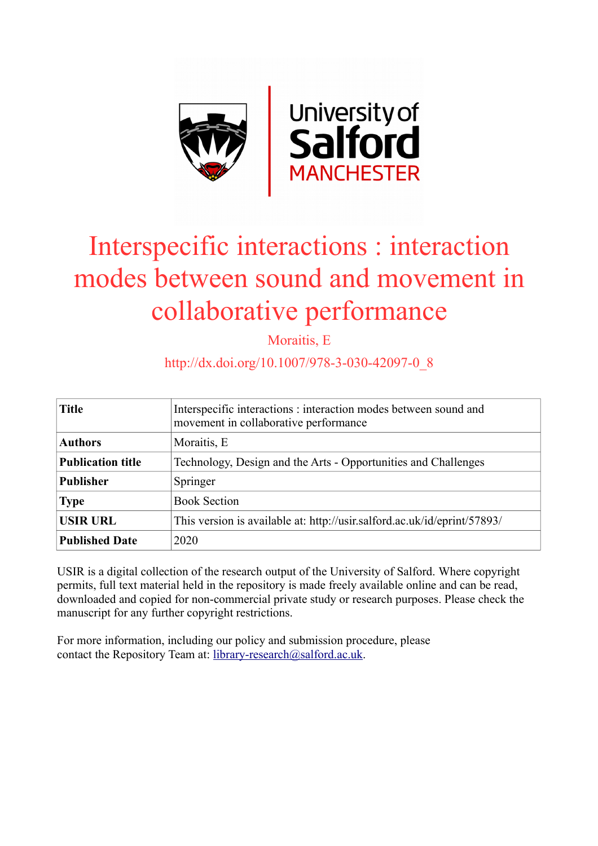

# Interspecific interactions : interaction modes between sound and movement in collaborative performance

Moraitis, E

http://dx.doi.org/10.1007/978-3-030-42097-0\_8

| <b>Title</b>             | Interspecific interactions : interaction modes between sound and<br>movement in collaborative performance |
|--------------------------|-----------------------------------------------------------------------------------------------------------|
| <b>Authors</b>           | Moraitis, E                                                                                               |
| <b>Publication title</b> | Technology, Design and the Arts - Opportunities and Challenges                                            |
| <b>Publisher</b>         | Springer                                                                                                  |
| <b>Type</b>              | <b>Book Section</b>                                                                                       |
| <b>USIR URL</b>          | This version is available at: http://usir.salford.ac.uk/id/eprint/57893/                                  |
| <b>Published Date</b>    | 2020                                                                                                      |

USIR is a digital collection of the research output of the University of Salford. Where copyright permits, full text material held in the repository is made freely available online and can be read, downloaded and copied for non-commercial private study or research purposes. Please check the manuscript for any further copyright restrictions.

For more information, including our policy and submission procedure, please contact the Repository Team at: [library-research@salford.ac.uk.](mailto:library-research@salford.ac.uk)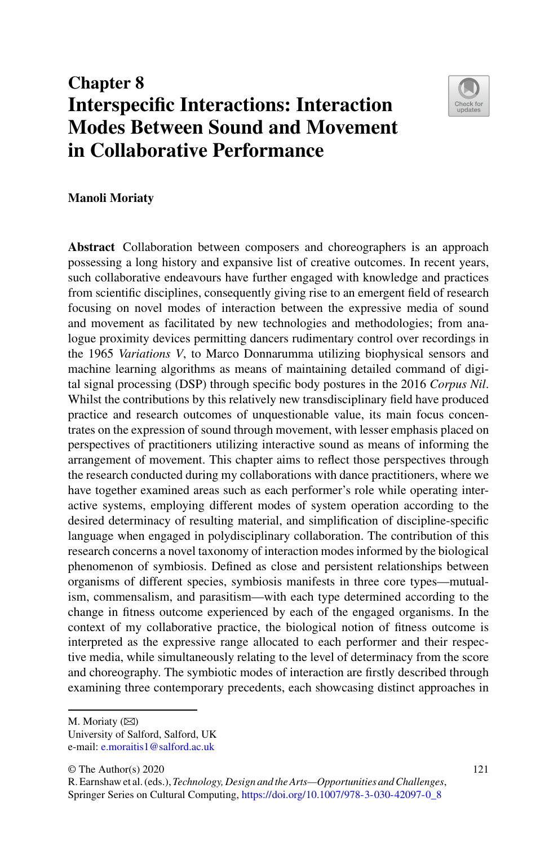# **Chapter 8 Interspecific Interactions: Interaction Modes Between Sound and Movement in Collaborative Performance**



#### **Manoli Moriaty**

**Abstract** Collaboration between composers and choreographers is an approach possessing a long history and expansive list of creative outcomes. In recent years, such collaborative endeavours have further engaged with knowledge and practices from scientific disciplines, consequently giving rise to an emergent field of research focusing on novel modes of interaction between the expressive media of sound and movement as facilitated by new technologies and methodologies; from analogue proximity devices permitting dancers rudimentary control over recordings in the 1965 *Variations V*, to Marco Donnarumma utilizing biophysical sensors and machine learning algorithms as means of maintaining detailed command of digital signal processing (DSP) through specific body postures in the 2016 *Corpus Nil*. Whilst the contributions by this relatively new transdisciplinary field have produced practice and research outcomes of unquestionable value, its main focus concentrates on the expression of sound through movement, with lesser emphasis placed on perspectives of practitioners utilizing interactive sound as means of informing the arrangement of movement. This chapter aims to reflect those perspectives through the research conducted during my collaborations with dance practitioners, where we have together examined areas such as each performer's role while operating interactive systems, employing different modes of system operation according to the desired determinacy of resulting material, and simplification of discipline-specific language when engaged in polydisciplinary collaboration. The contribution of this research concerns a novel taxonomy of interaction modes informed by the biological phenomenon of symbiosis. Defined as close and persistent relationships between organisms of different species, symbiosis manifests in three core types—mutualism, commensalism, and parasitism—with each type determined according to the change in fitness outcome experienced by each of the engaged organisms. In the context of my collaborative practice, the biological notion of fitness outcome is interpreted as the expressive range allocated to each performer and their respective media, while simultaneously relating to the level of determinacy from the score and choreography. The symbiotic modes of interaction are firstly described through examining three contemporary precedents, each showcasing distinct approaches in

M. Moriaty  $(\boxtimes)$ 

University of Salford, Salford, UK e-mail: [e.moraitis1@salford.ac.uk](mailto:e.moraitis1@salford.ac.uk)

<sup>©</sup> The Author(s) 2020

R. Earnshaw et al. (eds.), *Technology, Design and the Arts—Opportunities and Challenges*, Springer Series on Cultural Computing, [https://doi.org/10.1007/978-3-030-42097-0\\_8](https://doi.org/10.1007/978-3-030-42097-0_8)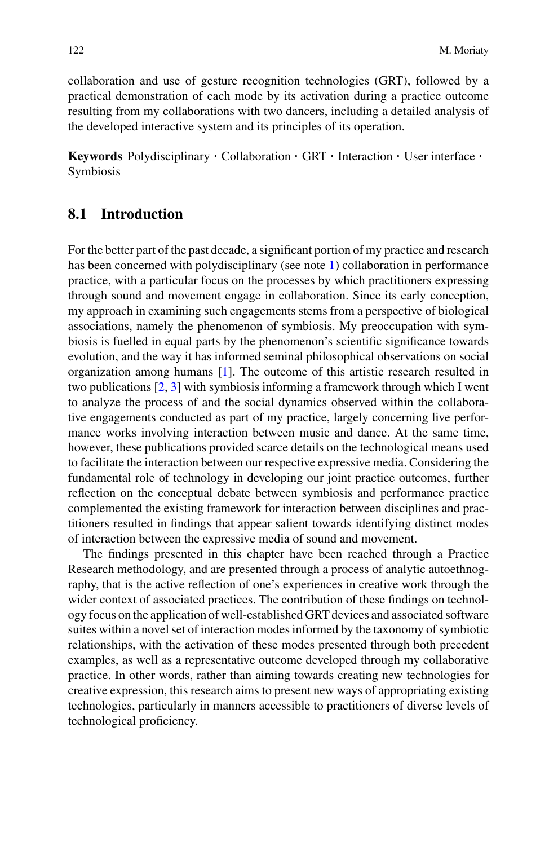collaboration and use of gesture recognition technologies (GRT), followed by a practical demonstration of each mode by its activation during a practice outcome resulting from my collaborations with two dancers, including a detailed analysis of the developed interactive system and its principles of its operation.

**Keywords** Polydisciplinary · Collaboration · GRT · Interaction · User interface · Symbiosis

## **8.1 Introduction**

For the better part of the past decade, a significant portion of my practice and research has been concerned with polydisciplinary (see note [1\)](#page-17-0) collaboration in performance practice, with a particular focus on the processes by which practitioners expressing through sound and movement engage in collaboration. Since its early conception, my approach in examining such engagements stems from a perspective of biological associations, namely the phenomenon of symbiosis. My preoccupation with symbiosis is fuelled in equal parts by the phenomenon's scientific significance towards evolution, and the way it has informed seminal philosophical observations on social organization among humans [\[1\]](#page-17-1). The outcome of this artistic research resulted in two publications [\[2,](#page-17-2) [3\]](#page-17-3) with symbiosis informing a framework through which I went to analyze the process of and the social dynamics observed within the collaborative engagements conducted as part of my practice, largely concerning live performance works involving interaction between music and dance. At the same time, however, these publications provided scarce details on the technological means used to facilitate the interaction between our respective expressive media. Considering the fundamental role of technology in developing our joint practice outcomes, further reflection on the conceptual debate between symbiosis and performance practice complemented the existing framework for interaction between disciplines and practitioners resulted in findings that appear salient towards identifying distinct modes of interaction between the expressive media of sound and movement.

The findings presented in this chapter have been reached through a Practice Research methodology, and are presented through a process of analytic autoethnography, that is the active reflection of one's experiences in creative work through the wider context of associated practices. The contribution of these findings on technology focus on the application of well-established GRT devices and associated software suites within a novel set of interaction modes informed by the taxonomy of symbiotic relationships, with the activation of these modes presented through both precedent examples, as well as a representative outcome developed through my collaborative practice. In other words, rather than aiming towards creating new technologies for creative expression, this research aims to present new ways of appropriating existing technologies, particularly in manners accessible to practitioners of diverse levels of technological proficiency.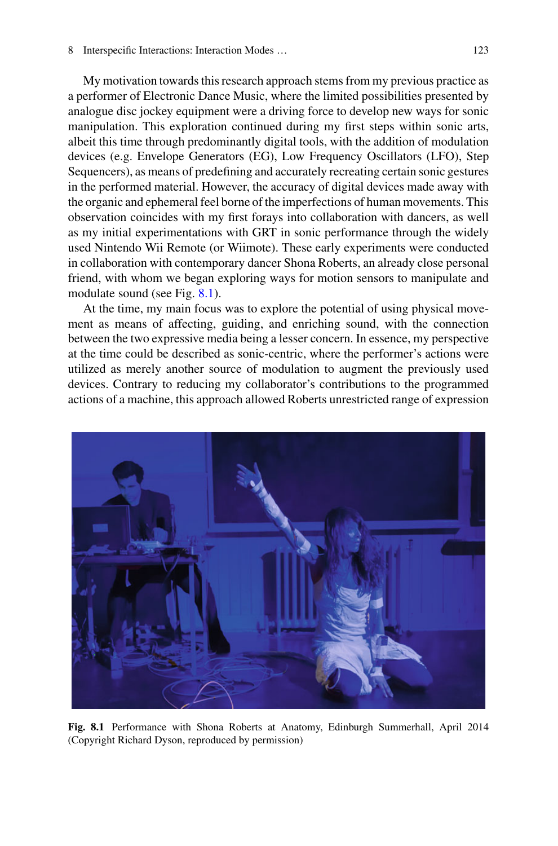My motivation towards this research approach stems from my previous practice as a performer of Electronic Dance Music, where the limited possibilities presented by analogue disc jockey equipment were a driving force to develop new ways for sonic manipulation. This exploration continued during my first steps within sonic arts, albeit this time through predominantly digital tools, with the addition of modulation devices (e.g. Envelope Generators (EG), Low Frequency Oscillators (LFO), Step Sequencers), as means of predefining and accurately recreating certain sonic gestures in the performed material. However, the accuracy of digital devices made away with the organic and ephemeral feel borne of the imperfections of human movements. This observation coincides with my first forays into collaboration with dancers, as well as my initial experimentations with GRT in sonic performance through the widely used Nintendo Wii Remote (or Wiimote). These early experiments were conducted in collaboration with contemporary dancer Shona Roberts, an already close personal friend, with whom we began exploring ways for motion sensors to manipulate and modulate sound (see Fig. [8.1\)](#page-3-0).

At the time, my main focus was to explore the potential of using physical movement as means of affecting, guiding, and enriching sound, with the connection between the two expressive media being a lesser concern. In essence, my perspective at the time could be described as sonic-centric, where the performer's actions were utilized as merely another source of modulation to augment the previously used devices. Contrary to reducing my collaborator's contributions to the programmed actions of a machine, this approach allowed Roberts unrestricted range of expression

<span id="page-3-0"></span>

**Fig. 8.1** Performance with Shona Roberts at Anatomy, Edinburgh Summerhall, April 2014 (Copyright Richard Dyson, reproduced by permission)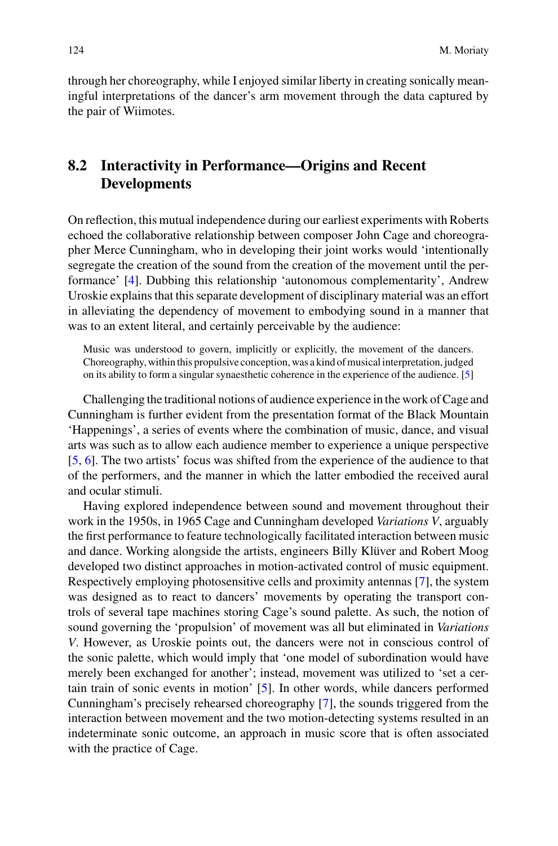through her choreography, while I enjoyed similar liberty in creating sonically meaningful interpretations of the dancer's arm movement through the data captured by the pair of Wiimotes.

# **8.2 Interactivity in Performance—Origins and Recent Developments**

On reflection, this mutual independence during our earliest experiments with Roberts echoed the collaborative relationship between composer John Cage and choreographer Merce Cunningham, who in developing their joint works would 'intentionally segregate the creation of the sound from the creation of the movement until the performance' [\[4\]](#page-17-4). Dubbing this relationship 'autonomous complementarity', Andrew Uroskie explains that this separate development of disciplinary material was an effort in alleviating the dependency of movement to embodying sound in a manner that was to an extent literal, and certainly perceivable by the audience:

Music was understood to govern, implicitly or explicitly, the movement of the dancers. Choreography, within this propulsive conception, was a kind of musical interpretation, judged on its ability to form a singular synaesthetic coherence in the experience of the audience. [\[5\]](#page-17-5)

Challenging the traditional notions of audience experience in the work of Cage and Cunningham is further evident from the presentation format of the Black Mountain 'Happenings', a series of events where the combination of music, dance, and visual arts was such as to allow each audience member to experience a unique perspective [\[5,](#page-17-5) [6\]](#page-17-6). The two artists' focus was shifted from the experience of the audience to that of the performers, and the manner in which the latter embodied the received aural and ocular stimuli.

Having explored independence between sound and movement throughout their work in the 1950s, in 1965 Cage and Cunningham developed *Variations V*, arguably the first performance to feature technologically facilitated interaction between music and dance. Working alongside the artists, engineers Billy Klüver and Robert Moog developed two distinct approaches in motion-activated control of music equipment. Respectively employing photosensitive cells and proximity antennas [\[7\]](#page-17-7), the system was designed as to react to dancers' movements by operating the transport controls of several tape machines storing Cage's sound palette. As such, the notion of sound governing the 'propulsion' of movement was all but eliminated in *Variations V*. However, as Uroskie points out, the dancers were not in conscious control of the sonic palette, which would imply that 'one model of subordination would have merely been exchanged for another'; instead, movement was utilized to 'set a certain train of sonic events in motion' [\[5\]](#page-17-5). In other words, while dancers performed Cunningham's precisely rehearsed choreography [\[7\]](#page-17-7), the sounds triggered from the interaction between movement and the two motion-detecting systems resulted in an indeterminate sonic outcome, an approach in music score that is often associated with the practice of Cage.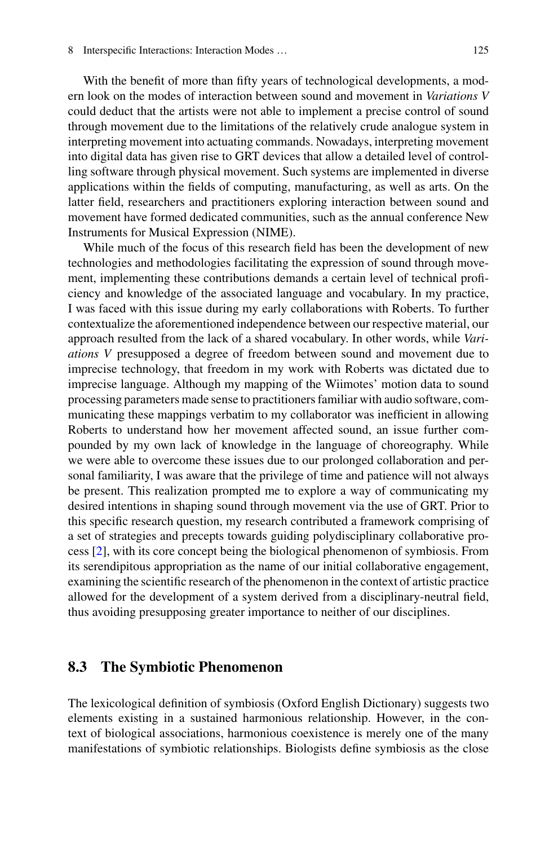With the benefit of more than fifty years of technological developments, a modern look on the modes of interaction between sound and movement in *Variations V* could deduct that the artists were not able to implement a precise control of sound through movement due to the limitations of the relatively crude analogue system in interpreting movement into actuating commands. Nowadays, interpreting movement into digital data has given rise to GRT devices that allow a detailed level of controlling software through physical movement. Such systems are implemented in diverse applications within the fields of computing, manufacturing, as well as arts. On the latter field, researchers and practitioners exploring interaction between sound and movement have formed dedicated communities, such as the annual conference New Instruments for Musical Expression (NIME).

While much of the focus of this research field has been the development of new technologies and methodologies facilitating the expression of sound through movement, implementing these contributions demands a certain level of technical proficiency and knowledge of the associated language and vocabulary. In my practice, I was faced with this issue during my early collaborations with Roberts. To further contextualize the aforementioned independence between our respective material, our approach resulted from the lack of a shared vocabulary. In other words, while *Variations V* presupposed a degree of freedom between sound and movement due to imprecise technology, that freedom in my work with Roberts was dictated due to imprecise language. Although my mapping of the Wiimotes' motion data to sound processing parameters made sense to practitioners familiar with audio software, communicating these mappings verbatim to my collaborator was inefficient in allowing Roberts to understand how her movement affected sound, an issue further compounded by my own lack of knowledge in the language of choreography. While we were able to overcome these issues due to our prolonged collaboration and personal familiarity, I was aware that the privilege of time and patience will not always be present. This realization prompted me to explore a way of communicating my desired intentions in shaping sound through movement via the use of GRT. Prior to this specific research question, my research contributed a framework comprising of a set of strategies and precepts towards guiding polydisciplinary collaborative process [\[2\]](#page-17-2), with its core concept being the biological phenomenon of symbiosis. From its serendipitous appropriation as the name of our initial collaborative engagement, examining the scientific research of the phenomenon in the context of artistic practice allowed for the development of a system derived from a disciplinary-neutral field, thus avoiding presupposing greater importance to neither of our disciplines.

#### **8.3 The Symbiotic Phenomenon**

The lexicological definition of symbiosis (Oxford English Dictionary) suggests two elements existing in a sustained harmonious relationship. However, in the context of biological associations, harmonious coexistence is merely one of the many manifestations of symbiotic relationships. Biologists define symbiosis as the close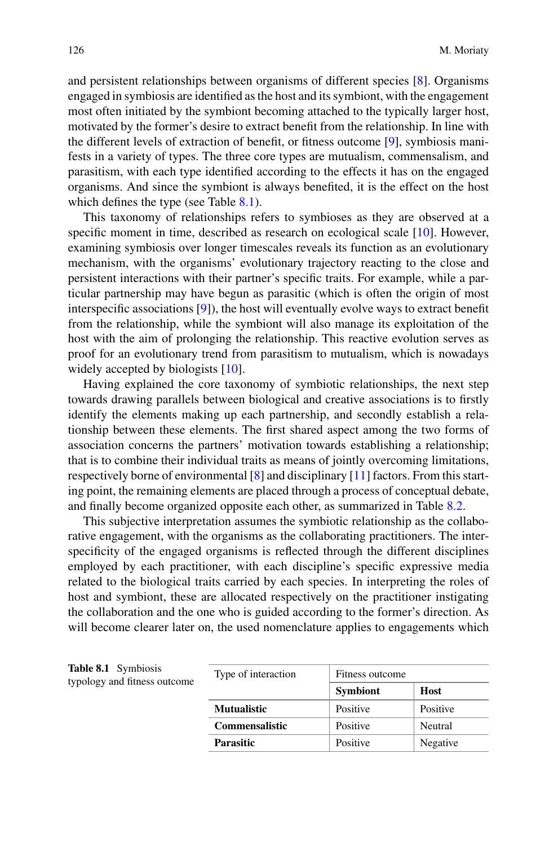and persistent relationships between organisms of different species [\[8\]](#page-17-8). Organisms engaged in symbiosis are identified as the host and its symbiont, with the engagement most often initiated by the symbiont becoming attached to the typically larger host, motivated by the former's desire to extract benefit from the relationship. In line with the different levels of extraction of benefit, or fitness outcome [\[9\]](#page-17-9), symbiosis manifests in a variety of types. The three core types are mutualism, commensalism, and parasitism, with each type identified according to the effects it has on the engaged organisms. And since the symbiont is always benefited, it is the effect on the host which defines the type (see Table  $8.1$ ).

This taxonomy of relationships refers to symbioses as they are observed at a specific moment in time, described as research on ecological scale [\[10\]](#page-17-10). However, examining symbiosis over longer timescales reveals its function as an evolutionary mechanism, with the organisms' evolutionary trajectory reacting to the close and persistent interactions with their partner's specific traits. For example, while a particular partnership may have begun as parasitic (which is often the origin of most interspecific associations [\[9\]](#page-17-9)), the host will eventually evolve ways to extract benefit from the relationship, while the symbiont will also manage its exploitation of the host with the aim of prolonging the relationship. This reactive evolution serves as proof for an evolutionary trend from parasitism to mutualism, which is nowadays widely accepted by biologists [\[10\]](#page-17-10).

Having explained the core taxonomy of symbiotic relationships, the next step towards drawing parallels between biological and creative associations is to firstly identify the elements making up each partnership, and secondly establish a relationship between these elements. The first shared aspect among the two forms of association concerns the partners' motivation towards establishing a relationship; that is to combine their individual traits as means of jointly overcoming limitations, respectively borne of environmental [\[8\]](#page-17-8) and disciplinary [\[11\]](#page-17-11) factors. From this starting point, the remaining elements are placed through a process of conceptual debate, and finally become organized opposite each other, as summarized in Table [8.2.](#page-7-0)

This subjective interpretation assumes the symbiotic relationship as the collaborative engagement, with the organisms as the collaborating practitioners. The interspecificity of the engaged organisms is reflected through the different disciplines employed by each practitioner, with each discipline's specific expressive media related to the biological traits carried by each species. In interpreting the roles of host and symbiont, these are allocated respectively on the practitioner instigating the collaboration and the one who is guided according to the former's direction. As will become clearer later on, the used nomenclature applies to engagements which

<span id="page-6-0"></span>

| <b>Table 8.1</b> Symbiosis<br>typology and fitness outcome | Type of interaction   | Fitness outcome |             |
|------------------------------------------------------------|-----------------------|-----------------|-------------|
|                                                            |                       | <b>Symbiont</b> | <b>Host</b> |
|                                                            | <b>Mutualistic</b>    | Positive        | Positive    |
|                                                            | <b>Commensalistic</b> | Positive        | Neutral     |
|                                                            | <b>Parasitic</b>      | Positive        | Negative    |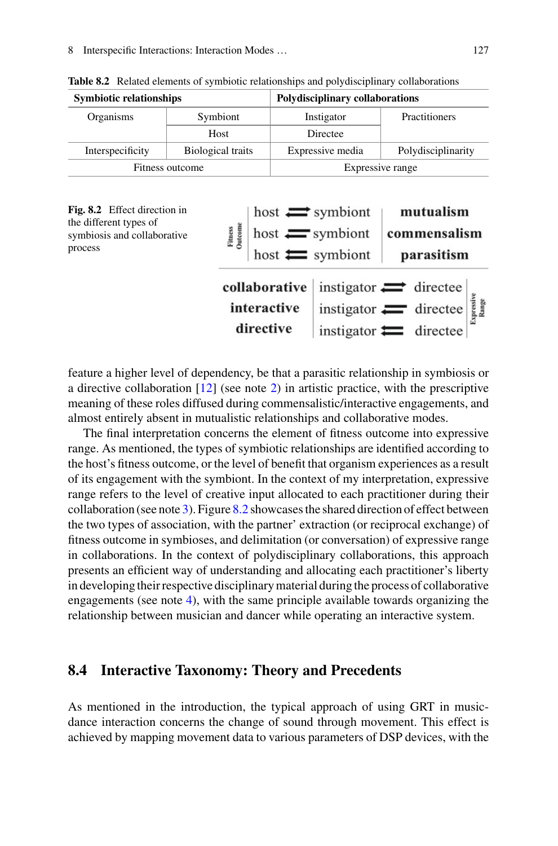| <b>Symbiotic relationships</b> |                   | Polydisciplinary collaborations |                      |  |
|--------------------------------|-------------------|---------------------------------|----------------------|--|
| Organisms                      | Symbiont          | Instigator                      | <b>Practitioners</b> |  |
|                                | <b>Host</b>       | Directee                        |                      |  |
| Interspecificity               | Biological traits | Expressive media                | Polydisciplinarity   |  |
| Fitness outcome                |                   |                                 | Expressive range     |  |

<span id="page-7-0"></span>**Table 8.2** Related elements of symbiotic relationships and polydisciplinary collaborations

<span id="page-7-1"></span>

feature a higher level of dependency, be that a parasitic relationship in symbiosis or a directive collaboration [\[12\]](#page-17-12) (see note [2\)](#page-17-0) in artistic practice, with the prescriptive meaning of these roles diffused during commensalistic/interactive engagements, and almost entirely absent in mutualistic relationships and collaborative modes.

The final interpretation concerns the element of fitness outcome into expressive range. As mentioned, the types of symbiotic relationships are identified according to the host's fitness outcome, or the level of benefit that organism experiences as a result of its engagement with the symbiont. In the context of my interpretation, expressive range refers to the level of creative input allocated to each practitioner during their collaboration (see note [3\)](#page-17-0). Figure [8.2](#page-7-1) showcases the shared direction of effect between the two types of association, with the partner' extraction (or reciprocal exchange) of fitness outcome in symbioses, and delimitation (or conversation) of expressive range in collaborations. In the context of polydisciplinary collaborations, this approach presents an efficient way of understanding and allocating each practitioner's liberty in developing their respective disciplinary material during the process of collaborative engagements (see note [4\)](#page-17-0), with the same principle available towards organizing the relationship between musician and dancer while operating an interactive system.

#### **8.4 Interactive Taxonomy: Theory and Precedents**

As mentioned in the introduction, the typical approach of using GRT in musicdance interaction concerns the change of sound through movement. This effect is achieved by mapping movement data to various parameters of DSP devices, with the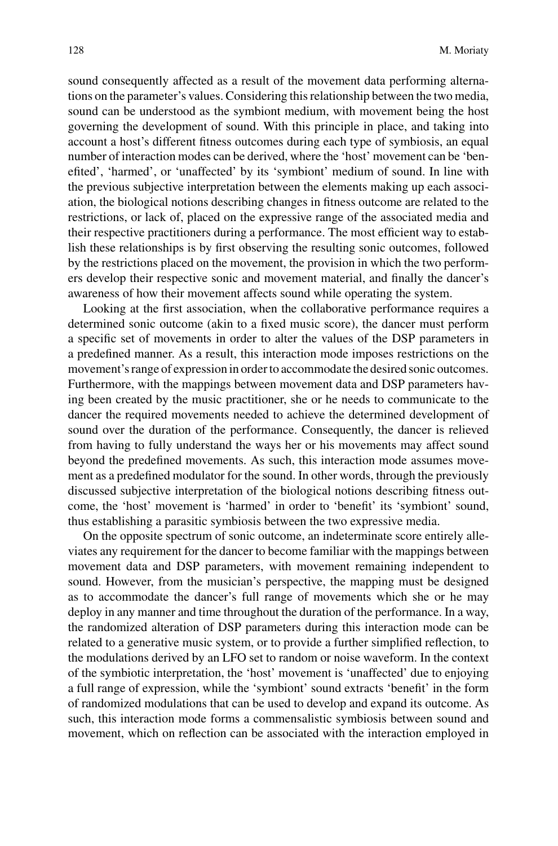sound consequently affected as a result of the movement data performing alternations on the parameter's values. Considering this relationship between the two media, sound can be understood as the symbiont medium, with movement being the host governing the development of sound. With this principle in place, and taking into account a host's different fitness outcomes during each type of symbiosis, an equal number of interaction modes can be derived, where the 'host' movement can be 'benefited', 'harmed', or 'unaffected' by its 'symbiont' medium of sound. In line with the previous subjective interpretation between the elements making up each association, the biological notions describing changes in fitness outcome are related to the restrictions, or lack of, placed on the expressive range of the associated media and their respective practitioners during a performance. The most efficient way to establish these relationships is by first observing the resulting sonic outcomes, followed by the restrictions placed on the movement, the provision in which the two performers develop their respective sonic and movement material, and finally the dancer's awareness of how their movement affects sound while operating the system.

Looking at the first association, when the collaborative performance requires a determined sonic outcome (akin to a fixed music score), the dancer must perform a specific set of movements in order to alter the values of the DSP parameters in a predefined manner. As a result, this interaction mode imposes restrictions on the movement's range of expression in order to accommodate the desired sonic outcomes. Furthermore, with the mappings between movement data and DSP parameters having been created by the music practitioner, she or he needs to communicate to the dancer the required movements needed to achieve the determined development of sound over the duration of the performance. Consequently, the dancer is relieved from having to fully understand the ways her or his movements may affect sound beyond the predefined movements. As such, this interaction mode assumes movement as a predefined modulator for the sound. In other words, through the previously discussed subjective interpretation of the biological notions describing fitness outcome, the 'host' movement is 'harmed' in order to 'benefit' its 'symbiont' sound, thus establishing a parasitic symbiosis between the two expressive media.

On the opposite spectrum of sonic outcome, an indeterminate score entirely alleviates any requirement for the dancer to become familiar with the mappings between movement data and DSP parameters, with movement remaining independent to sound. However, from the musician's perspective, the mapping must be designed as to accommodate the dancer's full range of movements which she or he may deploy in any manner and time throughout the duration of the performance. In a way, the randomized alteration of DSP parameters during this interaction mode can be related to a generative music system, or to provide a further simplified reflection, to the modulations derived by an LFO set to random or noise waveform. In the context of the symbiotic interpretation, the 'host' movement is 'unaffected' due to enjoying a full range of expression, while the 'symbiont' sound extracts 'benefit' in the form of randomized modulations that can be used to develop and expand its outcome. As such, this interaction mode forms a commensalistic symbiosis between sound and movement, which on reflection can be associated with the interaction employed in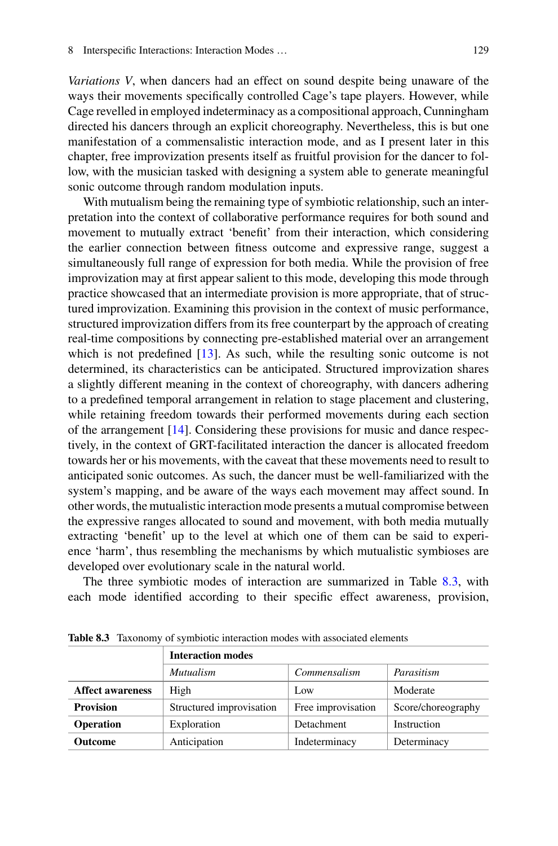*Variations V*, when dancers had an effect on sound despite being unaware of the ways their movements specifically controlled Cage's tape players. However, while Cage revelled in employed indeterminacy as a compositional approach, Cunningham directed his dancers through an explicit choreography. Nevertheless, this is but one manifestation of a commensalistic interaction mode, and as I present later in this chapter, free improvization presents itself as fruitful provision for the dancer to follow, with the musician tasked with designing a system able to generate meaningful sonic outcome through random modulation inputs.

With mutualism being the remaining type of symbiotic relationship, such an interpretation into the context of collaborative performance requires for both sound and movement to mutually extract 'benefit' from their interaction, which considering the earlier connection between fitness outcome and expressive range, suggest a simultaneously full range of expression for both media. While the provision of free improvization may at first appear salient to this mode, developing this mode through practice showcased that an intermediate provision is more appropriate, that of structured improvization. Examining this provision in the context of music performance, structured improvization differs from its free counterpart by the approach of creating real-time compositions by connecting pre-established material over an arrangement which is not predefined [\[13\]](#page-17-13). As such, while the resulting sonic outcome is not determined, its characteristics can be anticipated. Structured improvization shares a slightly different meaning in the context of choreography, with dancers adhering to a predefined temporal arrangement in relation to stage placement and clustering, while retaining freedom towards their performed movements during each section of the arrangement [\[14\]](#page-17-14). Considering these provisions for music and dance respectively, in the context of GRT-facilitated interaction the dancer is allocated freedom towards her or his movements, with the caveat that these movements need to result to anticipated sonic outcomes. As such, the dancer must be well-familiarized with the system's mapping, and be aware of the ways each movement may affect sound. In other words, the mutualistic interaction mode presents a mutual compromise between the expressive ranges allocated to sound and movement, with both media mutually extracting 'benefit' up to the level at which one of them can be said to experience 'harm', thus resembling the mechanisms by which mutualistic symbioses are developed over evolutionary scale in the natural world.

The three symbiotic modes of interaction are summarized in Table [8.3,](#page-9-0) with each mode identified according to their specific effect awareness, provision,

|                         | <b>Interaction modes</b> |                    |                    |  |
|-------------------------|--------------------------|--------------------|--------------------|--|
|                         | <i>Mutualism</i>         | Commensalism       | Parasitism         |  |
| <b>Affect awareness</b> | High                     | Low                | Moderate           |  |
| <b>Provision</b>        | Structured improvisation | Free improvisation | Score/choreography |  |
| <b>Operation</b>        | Exploration              | Detachment         | Instruction        |  |
| <b>Outcome</b>          | Anticipation             | Indeterminacy      | Determinacy        |  |

<span id="page-9-0"></span>**Table 8.3** Taxonomy of symbiotic interaction modes with associated elements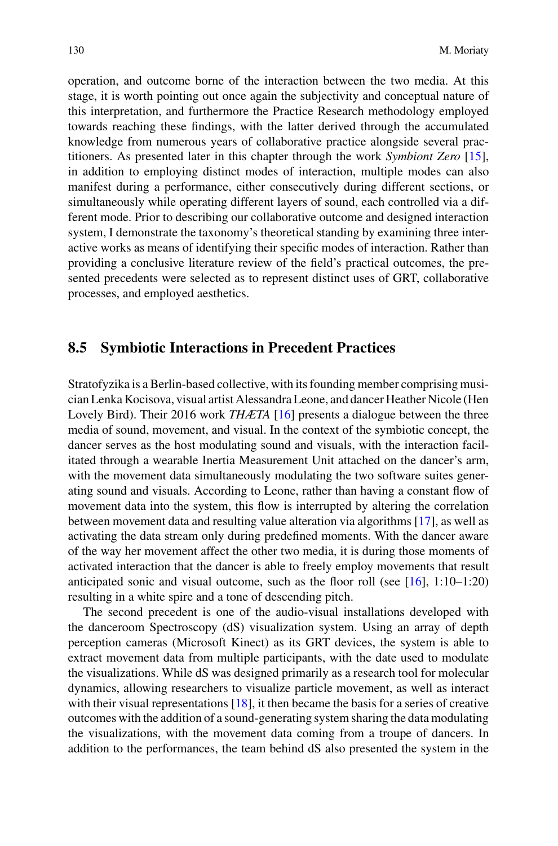operation, and outcome borne of the interaction between the two media. At this stage, it is worth pointing out once again the subjectivity and conceptual nature of this interpretation, and furthermore the Practice Research methodology employed towards reaching these findings, with the latter derived through the accumulated knowledge from numerous years of collaborative practice alongside several practitioners. As presented later in this chapter through the work *Symbiont Zero* [\[15\]](#page-17-15), in addition to employing distinct modes of interaction, multiple modes can also manifest during a performance, either consecutively during different sections, or simultaneously while operating different layers of sound, each controlled via a different mode. Prior to describing our collaborative outcome and designed interaction system, I demonstrate the taxonomy's theoretical standing by examining three interactive works as means of identifying their specific modes of interaction. Rather than providing a conclusive literature review of the field's practical outcomes, the presented precedents were selected as to represent distinct uses of GRT, collaborative processes, and employed aesthetics.

# **8.5 Symbiotic Interactions in Precedent Practices**

Stratofyzika is a Berlin-based collective, with its founding member comprising musician Lenka Kocisova, visual artist Alessandra Leone, and dancer Heather Nicole (Hen Lovely Bird). Their 2016 work *THÆTA* [\[16\]](#page-18-0) presents a dialogue between the three media of sound, movement, and visual. In the context of the symbiotic concept, the dancer serves as the host modulating sound and visuals, with the interaction facilitated through a wearable Inertia Measurement Unit attached on the dancer's arm, with the movement data simultaneously modulating the two software suites generating sound and visuals. According to Leone, rather than having a constant flow of movement data into the system, this flow is interrupted by altering the correlation between movement data and resulting value alteration via algorithms [\[17\]](#page-18-1), as well as activating the data stream only during predefined moments. With the dancer aware of the way her movement affect the other two media, it is during those moments of activated interaction that the dancer is able to freely employ movements that result anticipated sonic and visual outcome, such as the floor roll (see  $[16]$ , 1:10–1:20) resulting in a white spire and a tone of descending pitch.

The second precedent is one of the audio-visual installations developed with the danceroom Spectroscopy (dS) visualization system. Using an array of depth perception cameras (Microsoft Kinect) as its GRT devices, the system is able to extract movement data from multiple participants, with the date used to modulate the visualizations. While dS was designed primarily as a research tool for molecular dynamics, allowing researchers to visualize particle movement, as well as interact with their visual representations  $[18]$ , it then became the basis for a series of creative outcomes with the addition of a sound-generating system sharing the data modulating the visualizations, with the movement data coming from a troupe of dancers. In addition to the performances, the team behind dS also presented the system in the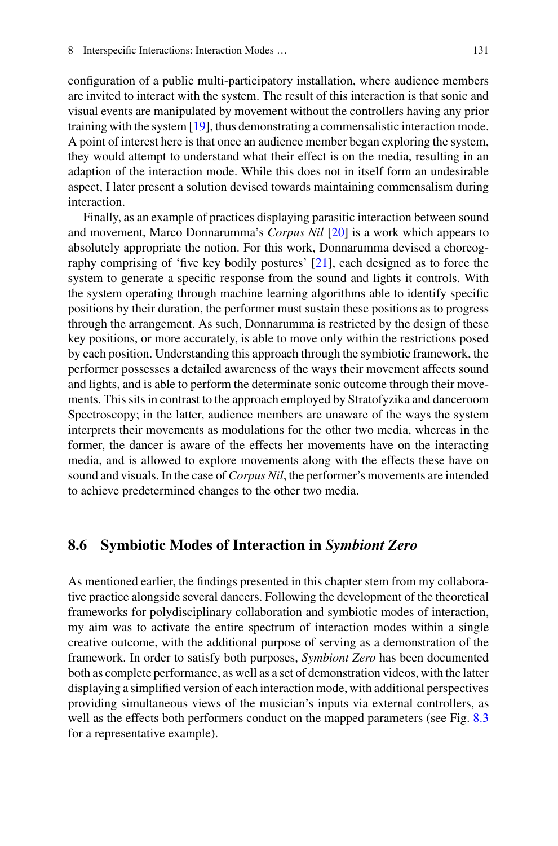configuration of a public multi-participatory installation, where audience members are invited to interact with the system. The result of this interaction is that sonic and visual events are manipulated by movement without the controllers having any prior training with the system [\[19\]](#page-18-3), thus demonstrating a commensalistic interaction mode. A point of interest here is that once an audience member began exploring the system, they would attempt to understand what their effect is on the media, resulting in an adaption of the interaction mode. While this does not in itself form an undesirable aspect, I later present a solution devised towards maintaining commensalism during interaction.

Finally, as an example of practices displaying parasitic interaction between sound and movement, Marco Donnarumma's *Corpus Nil* [\[20\]](#page-18-4) is a work which appears to absolutely appropriate the notion. For this work, Donnarumma devised a choreography comprising of 'five key bodily postures' [\[21\]](#page-18-5), each designed as to force the system to generate a specific response from the sound and lights it controls. With the system operating through machine learning algorithms able to identify specific positions by their duration, the performer must sustain these positions as to progress through the arrangement. As such, Donnarumma is restricted by the design of these key positions, or more accurately, is able to move only within the restrictions posed by each position. Understanding this approach through the symbiotic framework, the performer possesses a detailed awareness of the ways their movement affects sound and lights, and is able to perform the determinate sonic outcome through their movements. This sits in contrast to the approach employed by Stratofyzika and danceroom Spectroscopy; in the latter, audience members are unaware of the ways the system interprets their movements as modulations for the other two media, whereas in the former, the dancer is aware of the effects her movements have on the interacting media, and is allowed to explore movements along with the effects these have on sound and visuals. In the case of *Corpus Nil*, the performer's movements are intended to achieve predetermined changes to the other two media.

#### **8.6 Symbiotic Modes of Interaction in** *Symbiont Zero*

As mentioned earlier, the findings presented in this chapter stem from my collaborative practice alongside several dancers. Following the development of the theoretical frameworks for polydisciplinary collaboration and symbiotic modes of interaction, my aim was to activate the entire spectrum of interaction modes within a single creative outcome, with the additional purpose of serving as a demonstration of the framework. In order to satisfy both purposes, *Symbiont Zero* has been documented both as complete performance, as well as a set of demonstration videos, with the latter displaying a simplified version of each interaction mode, with additional perspectives providing simultaneous views of the musician's inputs via external controllers, as well as the effects both performers conduct on the mapped parameters (see Fig. [8.3](#page-12-0)) for a representative example).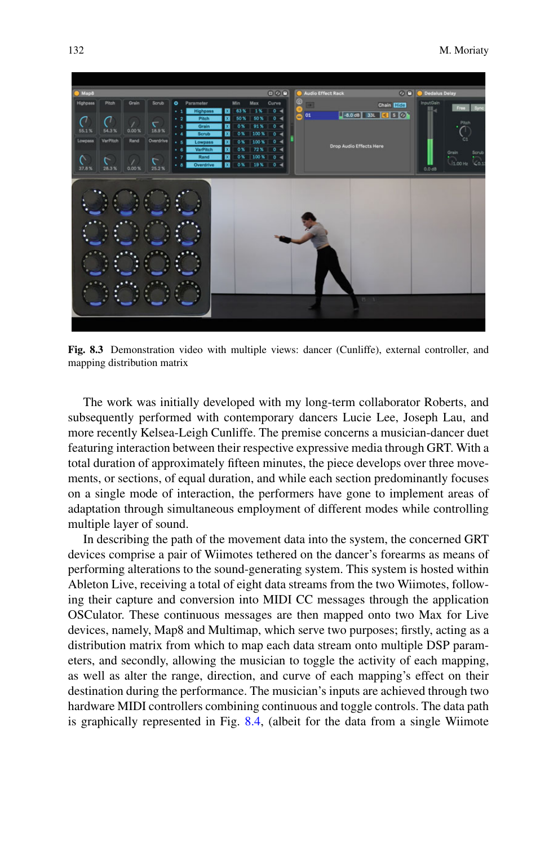

**Fig. 8.3** Demonstration video with multiple views: dancer (Cunliffe), external controller, and mapping distribution matrix

<span id="page-12-0"></span>The work was initially developed with my long-term collaborator Roberts, and subsequently performed with contemporary dancers Lucie Lee, Joseph Lau, and more recently Kelsea-Leigh Cunliffe. The premise concerns a musician-dancer duet featuring interaction between their respective expressive media through GRT. With a total duration of approximately fifteen minutes, the piece develops over three movements, or sections, of equal duration, and while each section predominantly focuses on a single mode of interaction, the performers have gone to implement areas of adaptation through simultaneous employment of different modes while controlling multiple layer of sound.

In describing the path of the movement data into the system, the concerned GRT devices comprise a pair of Wiimotes tethered on the dancer's forearms as means of performing alterations to the sound-generating system. This system is hosted within Ableton Live, receiving a total of eight data streams from the two Wiimotes, following their capture and conversion into MIDI CC messages through the application OSCulator. These continuous messages are then mapped onto two Max for Live devices, namely, Map8 and Multimap, which serve two purposes; firstly, acting as a distribution matrix from which to map each data stream onto multiple DSP parameters, and secondly, allowing the musician to toggle the activity of each mapping, as well as alter the range, direction, and curve of each mapping's effect on their destination during the performance. The musician's inputs are achieved through two hardware MIDI controllers combining continuous and toggle controls. The data path is graphically represented in Fig. [8.4,](#page-13-0) (albeit for the data from a single Wiimote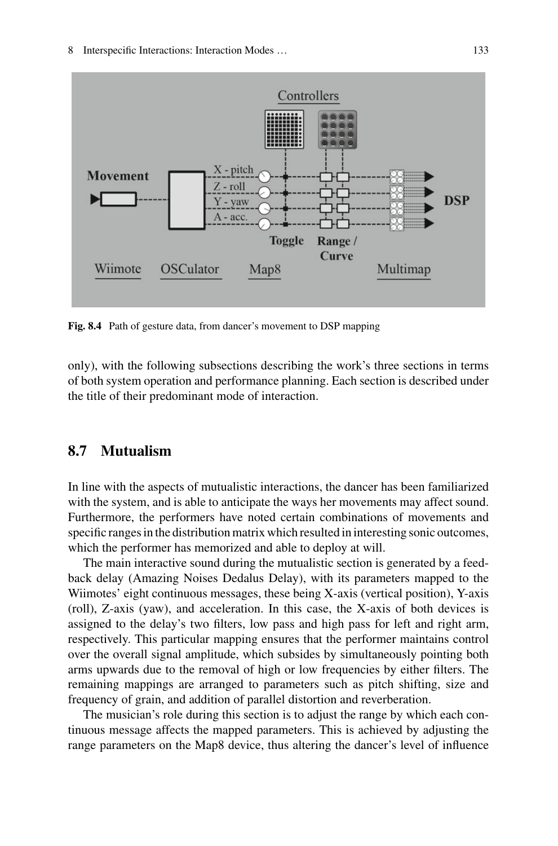

<span id="page-13-0"></span>**Fig. 8.4** Path of gesture data, from dancer's movement to DSP mapping

only), with the following subsections describing the work's three sections in terms of both system operation and performance planning. Each section is described under the title of their predominant mode of interaction.

#### **8.7 Mutualism**

In line with the aspects of mutualistic interactions, the dancer has been familiarized with the system, and is able to anticipate the ways her movements may affect sound. Furthermore, the performers have noted certain combinations of movements and specific ranges in the distribution matrix which resulted in interesting sonic outcomes, which the performer has memorized and able to deploy at will.

The main interactive sound during the mutualistic section is generated by a feedback delay (Amazing Noises Dedalus Delay), with its parameters mapped to the Wiimotes' eight continuous messages, these being X-axis (vertical position), Y-axis (roll), Z-axis (yaw), and acceleration. In this case, the X-axis of both devices is assigned to the delay's two filters, low pass and high pass for left and right arm, respectively. This particular mapping ensures that the performer maintains control over the overall signal amplitude, which subsides by simultaneously pointing both arms upwards due to the removal of high or low frequencies by either filters. The remaining mappings are arranged to parameters such as pitch shifting, size and frequency of grain, and addition of parallel distortion and reverberation.

The musician's role during this section is to adjust the range by which each continuous message affects the mapped parameters. This is achieved by adjusting the range parameters on the Map8 device, thus altering the dancer's level of influence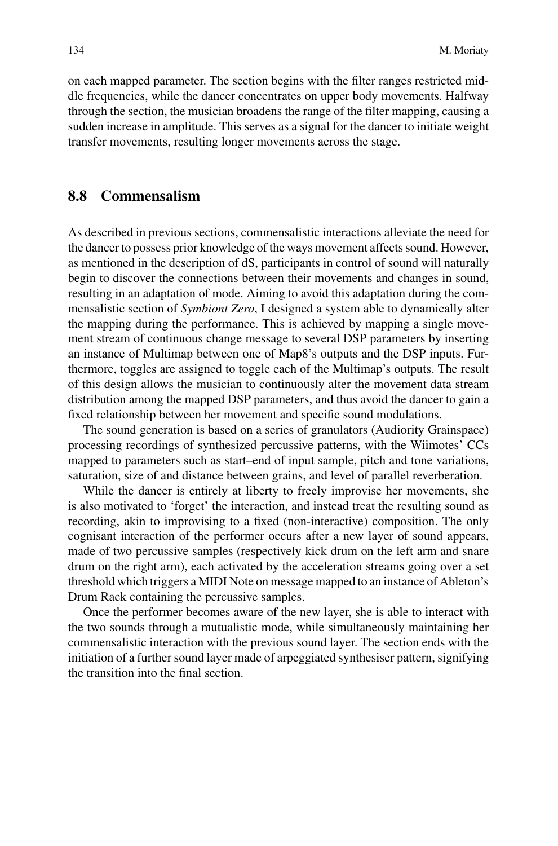on each mapped parameter. The section begins with the filter ranges restricted middle frequencies, while the dancer concentrates on upper body movements. Halfway through the section, the musician broadens the range of the filter mapping, causing a sudden increase in amplitude. This serves as a signal for the dancer to initiate weight transfer movements, resulting longer movements across the stage.

#### **8.8 Commensalism**

As described in previous sections, commensalistic interactions alleviate the need for the dancer to possess prior knowledge of the ways movement affects sound. However, as mentioned in the description of dS, participants in control of sound will naturally begin to discover the connections between their movements and changes in sound, resulting in an adaptation of mode. Aiming to avoid this adaptation during the commensalistic section of *Symbiont Zero*, I designed a system able to dynamically alter the mapping during the performance. This is achieved by mapping a single movement stream of continuous change message to several DSP parameters by inserting an instance of Multimap between one of Map8's outputs and the DSP inputs. Furthermore, toggles are assigned to toggle each of the Multimap's outputs. The result of this design allows the musician to continuously alter the movement data stream distribution among the mapped DSP parameters, and thus avoid the dancer to gain a fixed relationship between her movement and specific sound modulations.

The sound generation is based on a series of granulators (Audiority Grainspace) processing recordings of synthesized percussive patterns, with the Wiimotes' CCs mapped to parameters such as start–end of input sample, pitch and tone variations, saturation, size of and distance between grains, and level of parallel reverberation.

While the dancer is entirely at liberty to freely improvise her movements, she is also motivated to 'forget' the interaction, and instead treat the resulting sound as recording, akin to improvising to a fixed (non-interactive) composition. The only cognisant interaction of the performer occurs after a new layer of sound appears, made of two percussive samples (respectively kick drum on the left arm and snare drum on the right arm), each activated by the acceleration streams going over a set threshold which triggers a MIDI Note on message mapped to an instance of Ableton's Drum Rack containing the percussive samples.

Once the performer becomes aware of the new layer, she is able to interact with the two sounds through a mutualistic mode, while simultaneously maintaining her commensalistic interaction with the previous sound layer. The section ends with the initiation of a further sound layer made of arpeggiated synthesiser pattern, signifying the transition into the final section.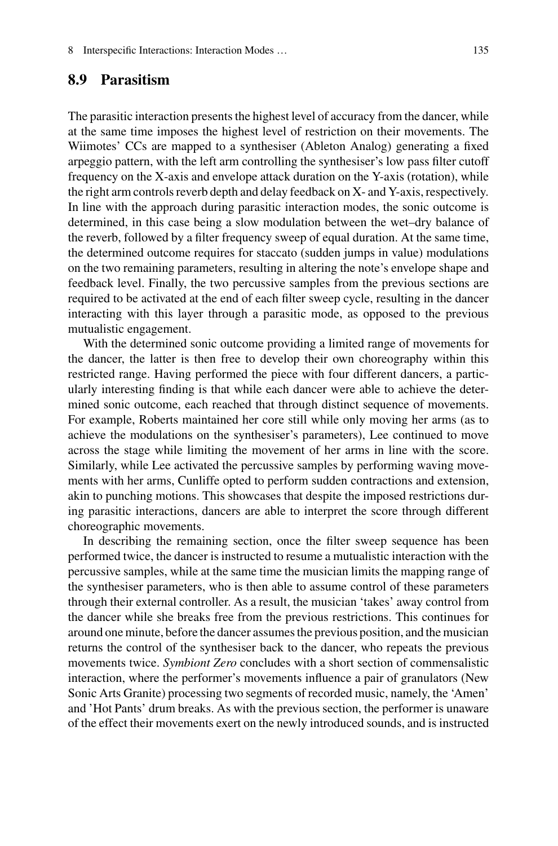### **8.9 Parasitism**

The parasitic interaction presents the highest level of accuracy from the dancer, while at the same time imposes the highest level of restriction on their movements. The Wiimotes' CCs are mapped to a synthesiser (Ableton Analog) generating a fixed arpeggio pattern, with the left arm controlling the synthesiser's low pass filter cutoff frequency on the X-axis and envelope attack duration on the Y-axis (rotation), while the right arm controls reverb depth and delay feedback on X- and Y-axis, respectively. In line with the approach during parasitic interaction modes, the sonic outcome is determined, in this case being a slow modulation between the wet–dry balance of the reverb, followed by a filter frequency sweep of equal duration. At the same time, the determined outcome requires for staccato (sudden jumps in value) modulations on the two remaining parameters, resulting in altering the note's envelope shape and feedback level. Finally, the two percussive samples from the previous sections are required to be activated at the end of each filter sweep cycle, resulting in the dancer interacting with this layer through a parasitic mode, as opposed to the previous mutualistic engagement.

With the determined sonic outcome providing a limited range of movements for the dancer, the latter is then free to develop their own choreography within this restricted range. Having performed the piece with four different dancers, a particularly interesting finding is that while each dancer were able to achieve the determined sonic outcome, each reached that through distinct sequence of movements. For example, Roberts maintained her core still while only moving her arms (as to achieve the modulations on the synthesiser's parameters), Lee continued to move across the stage while limiting the movement of her arms in line with the score. Similarly, while Lee activated the percussive samples by performing waving movements with her arms, Cunliffe opted to perform sudden contractions and extension, akin to punching motions. This showcases that despite the imposed restrictions during parasitic interactions, dancers are able to interpret the score through different choreographic movements.

In describing the remaining section, once the filter sweep sequence has been performed twice, the dancer is instructed to resume a mutualistic interaction with the percussive samples, while at the same time the musician limits the mapping range of the synthesiser parameters, who is then able to assume control of these parameters through their external controller. As a result, the musician 'takes' away control from the dancer while she breaks free from the previous restrictions. This continues for around one minute, before the dancer assumes the previous position, and the musician returns the control of the synthesiser back to the dancer, who repeats the previous movements twice. *Symbiont Zero* concludes with a short section of commensalistic interaction, where the performer's movements influence a pair of granulators (New Sonic Arts Granite) processing two segments of recorded music, namely, the 'Amen' and 'Hot Pants' drum breaks. As with the previous section, the performer is unaware of the effect their movements exert on the newly introduced sounds, and is instructed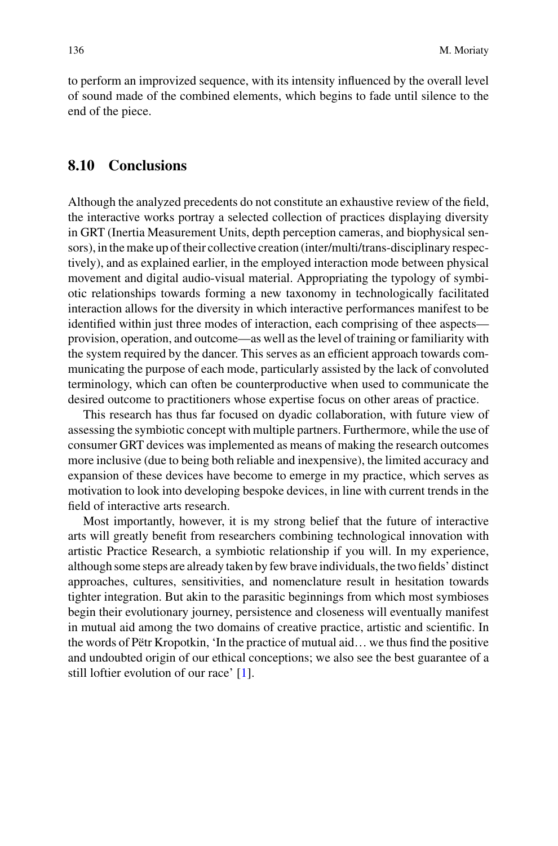to perform an improvized sequence, with its intensity influenced by the overall level of sound made of the combined elements, which begins to fade until silence to the end of the piece.

# **8.10 Conclusions**

Although the analyzed precedents do not constitute an exhaustive review of the field, the interactive works portray a selected collection of practices displaying diversity in GRT (Inertia Measurement Units, depth perception cameras, and biophysical sensors), in the make up of their collective creation (inter/multi/trans-disciplinary respectively), and as explained earlier, in the employed interaction mode between physical movement and digital audio-visual material. Appropriating the typology of symbiotic relationships towards forming a new taxonomy in technologically facilitated interaction allows for the diversity in which interactive performances manifest to be identified within just three modes of interaction, each comprising of thee aspects provision, operation, and outcome—as well as the level of training or familiarity with the system required by the dancer. This serves as an efficient approach towards communicating the purpose of each mode, particularly assisted by the lack of convoluted terminology, which can often be counterproductive when used to communicate the desired outcome to practitioners whose expertise focus on other areas of practice.

This research has thus far focused on dyadic collaboration, with future view of assessing the symbiotic concept with multiple partners. Furthermore, while the use of consumer GRT devices was implemented as means of making the research outcomes more inclusive (due to being both reliable and inexpensive), the limited accuracy and expansion of these devices have become to emerge in my practice, which serves as motivation to look into developing bespoke devices, in line with current trends in the field of interactive arts research.

Most importantly, however, it is my strong belief that the future of interactive arts will greatly benefit from researchers combining technological innovation with artistic Practice Research, a symbiotic relationship if you will. In my experience, although some steps are already taken by few brave individuals, the two fields' distinct approaches, cultures, sensitivities, and nomenclature result in hesitation towards tighter integration. But akin to the parasitic beginnings from which most symbioses begin their evolutionary journey, persistence and closeness will eventually manifest in mutual aid among the two domains of creative practice, artistic and scientific. In the words of Pëtr Kropotkin, 'In the practice of mutual aid… we thus find the positive and undoubted origin of our ethical conceptions; we also see the best guarantee of a still loftier evolution of our race' [\[1\]](#page-17-1).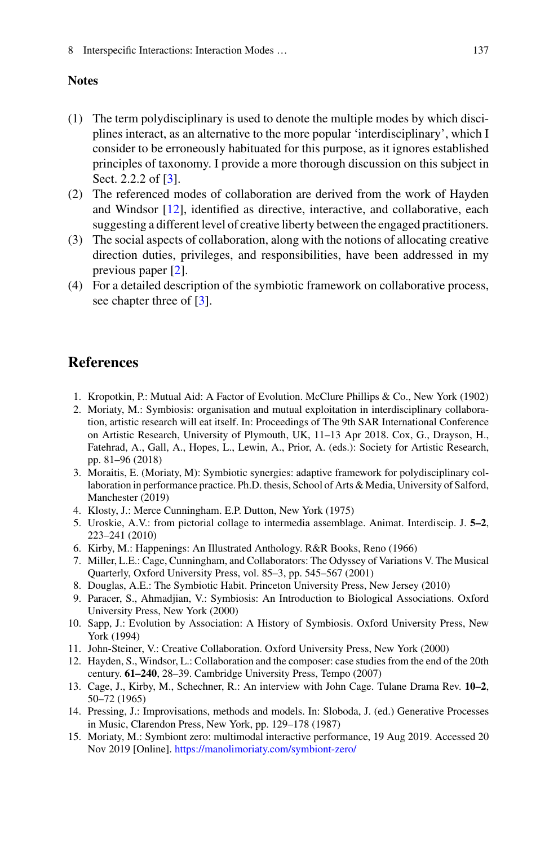<span id="page-17-0"></span>8 Interspecific Interactions: Interaction Modes … 137

#### **Notes**

- (1) The term polydisciplinary is used to denote the multiple modes by which disciplines interact, as an alternative to the more popular 'interdisciplinary', which I consider to be erroneously habituated for this purpose, as it ignores established principles of taxonomy. I provide a more thorough discussion on this subject in Sect. 2.2.2 of [\[3\]](#page-17-3).
- (2) The referenced modes of collaboration are derived from the work of Hayden and Windsor [\[12\]](#page-17-12), identified as directive, interactive, and collaborative, each suggesting a different level of creative liberty between the engaged practitioners.
- (3) The social aspects of collaboration, along with the notions of allocating creative direction duties, privileges, and responsibilities, have been addressed in my previous paper [\[2\]](#page-17-2).
- (4) For a detailed description of the symbiotic framework on collaborative process, see chapter three of [\[3\]](#page-17-3).

#### **References**

- <span id="page-17-1"></span>1. Kropotkin, P.: Mutual Aid: A Factor of Evolution. McClure Phillips & Co., New York (1902)
- <span id="page-17-2"></span>2. Moriaty, M.: Symbiosis: organisation and mutual exploitation in interdisciplinary collaboration, artistic research will eat itself. In: Proceedings of The 9th SAR International Conference on Artistic Research, University of Plymouth, UK, 11–13 Apr 2018. Cox, G., Drayson, H., Fatehrad, A., Gall, A., Hopes, L., Lewin, A., Prior, A. (eds.): Society for Artistic Research, pp. 81–96 (2018)
- <span id="page-17-3"></span>3. Moraitis, E. (Moriaty, M): Symbiotic synergies: adaptive framework for polydisciplinary collaboration in performance practice. Ph.D. thesis, School of Arts & Media, University of Salford, Manchester (2019)
- <span id="page-17-4"></span>4. Klosty, J.: Merce Cunningham. E.P. Dutton, New York (1975)
- <span id="page-17-5"></span>5. Uroskie, A.V.: from pictorial collage to intermedia assemblage. Animat. Interdiscip. J. **5–2**, 223–241 (2010)
- <span id="page-17-6"></span>6. Kirby, M.: Happenings: An Illustrated Anthology. R&R Books, Reno (1966)
- <span id="page-17-7"></span>7. Miller, L.E.: Cage, Cunningham, and Collaborators: The Odyssey of Variations V. The Musical Quarterly, Oxford University Press, vol. 85–3, pp. 545–567 (2001)
- <span id="page-17-8"></span>8. Douglas, A.E.: The Symbiotic Habit. Princeton University Press, New Jersey (2010)
- <span id="page-17-9"></span>9. Paracer, S., Ahmadjian, V.: Symbiosis: An Introduction to Biological Associations. Oxford University Press, New York (2000)
- <span id="page-17-10"></span>10. Sapp, J.: Evolution by Association: A History of Symbiosis. Oxford University Press, New York (1994)
- <span id="page-17-11"></span>11. John-Steiner, V.: Creative Collaboration. Oxford University Press, New York (2000)
- <span id="page-17-12"></span>12. Hayden, S., Windsor, L.: Collaboration and the composer: case studies from the end of the 20th century. **61–240**, 28–39. Cambridge University Press, Tempo (2007)
- <span id="page-17-13"></span>13. Cage, J., Kirby, M., Schechner, R.: An interview with John Cage. Tulane Drama Rev. **10–2**, 50–72 (1965)
- <span id="page-17-14"></span>14. Pressing, J.: Improvisations, methods and models. In: Sloboda, J. (ed.) Generative Processes in Music, Clarendon Press, New York, pp. 129–178 (1987)
- <span id="page-17-15"></span>15. Moriaty, M.: Symbiont zero: multimodal interactive performance, 19 Aug 2019. Accessed 20 Nov 2019 [Online]. <https://manolimoriaty.com/symbiont-zero/>